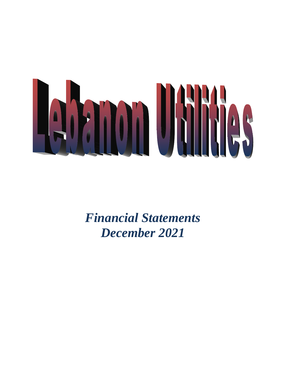

*Financial Statements December 2021*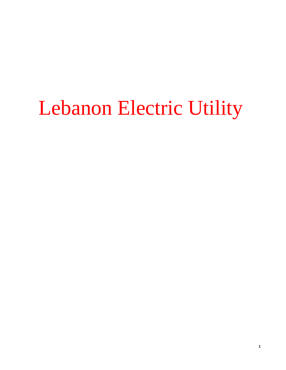# Lebanon Electric Utility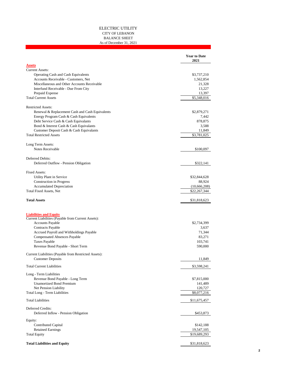#### ELECTRIC UTILITY CITY OF LEBANON BALANCE SHEET As of December 31, 2021

|                                                                                     | <b>Year to Date</b><br>2021  |
|-------------------------------------------------------------------------------------|------------------------------|
| <b>Assets</b>                                                                       |                              |
| <b>Current Assets:</b>                                                              |                              |
| Operating Cash and Cash Equivalents                                                 | \$3,737,210                  |
| Accounts Receivable - Customers, Net                                                | 1,562,854                    |
| Miscellaneous and Other Accounts Receivable                                         | 21,328                       |
| Interfund Receivable - Due From City<br>Prepaid Expense                             | 13,227<br>13,397             |
| <b>Total Current Assets</b>                                                         | \$5,348,016                  |
|                                                                                     |                              |
| <b>Restricted Assets:</b>                                                           |                              |
| Renewal & Replacement Cash and Cash Equivalents                                     | \$2,879,271                  |
| Energy Program Cash & Cash Equivalents                                              | 7,442                        |
| Debt Service Cash & Cash Equivalants                                                | 878,875                      |
| Bond & Interest Cash & Cash Equivalants                                             | 3,588                        |
| Customer Deposit Cash & Cash Equivalants                                            | 11,849                       |
| <b>Total Restricted Assets</b>                                                      | \$3,781,025                  |
| Long Term Assets:                                                                   |                              |
| Notes Receivable                                                                    | \$100,097                    |
|                                                                                     |                              |
| Deferred Debits:                                                                    |                              |
| Deferred Outflow - Pension Obligation                                               | \$322,141                    |
|                                                                                     |                              |
| <b>Fixed Assets:</b>                                                                |                              |
| Utility Plant in Service<br><b>Construction</b> in Progress                         | \$32,844,628<br>88,924       |
| <b>Accumulated Depreciation</b>                                                     |                              |
| <b>Total Fixed Assets, Net</b>                                                      | (10,666,208)<br>\$22,267,344 |
|                                                                                     |                              |
| <b>Total Assets</b>                                                                 | \$31,818,623                 |
|                                                                                     |                              |
| <b>Liabilities and Equity</b><br>Current Liabilities (Payable from Current Assets): |                              |
| <b>Accounts Payable</b>                                                             | \$2,734,399                  |
| <b>Contracts Payable</b>                                                            | 3,637                        |
| Accrued Payroll and Withholdings Payable                                            | 71,344                       |
| <b>Compensated Absences Payable</b>                                                 | 83,271                       |
| <b>Taxes Payable</b>                                                                | 103,741                      |
| Revenue Bond Payable - Short Term                                                   | 590,000                      |
| Current Liabilities (Payable from Restricted Assets):                               |                              |
| <b>Customer Deposits</b>                                                            | 11,849                       |
|                                                                                     |                              |
| <b>Total Current Liabilities</b>                                                    | \$3,598,241                  |
| Long - Term Liabilities                                                             |                              |
| Revenue Bond Payable - Long Term                                                    | \$7,815,000                  |
| <b>Unamortized Bond Premium</b>                                                     | 141,489                      |
| Net Pension Liability                                                               | 120,727                      |
| Total Long - Term Liabilities                                                       | \$8,077,216                  |
| <b>Total Liabilities</b>                                                            | \$11,675,457                 |
| Deferred Credits:                                                                   |                              |
| Deferred Inflow - Pension Obligation                                                | \$453,873                    |
| Equity:                                                                             |                              |
| <b>Contributed Capital</b>                                                          | \$142,188                    |
| <b>Retained Earnings</b>                                                            | 19,547,105                   |
| <b>Total Equity</b>                                                                 | \$19,689,293                 |
|                                                                                     |                              |
| <b>Total Liabilities and Equity</b>                                                 | \$31,818,623                 |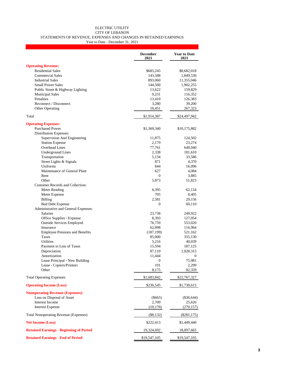#### ELECTRIC UTILITY CITY OF LEBANON STATEMENTS OF REVENUE, EXPENSES AND CHANGES IN RETAINED EARNINGS

Year to Date - December 31, 2021

|                                                | <b>December</b><br>2021 | <b>Year to Date</b><br>2021 |
|------------------------------------------------|-------------------------|-----------------------------|
| <b>Operating Revenue:</b>                      |                         |                             |
| <b>Residential Sales</b>                       | \$683,245               | \$8,682,018                 |
| <b>Commercial Sales</b>                        | 143,588                 | 1,849,536                   |
| <b>Industrial Sales</b>                        | 893,060                 | 11,355,046                  |
| <b>Small Power Sales</b>                       | 144,500                 | 1,902,255                   |
| Public Street & Highway Lighting               | 13,622                  | 159,829                     |
| <b>Municipal Sales</b>                         | 9,231                   | 116,352                     |
| Penalties                                      | 13,410                  | 126,383                     |
| Reconnect / Disconnect                         | 3,280                   | 39,200                      |
| Other Operating                                | 10,451                  | 267,323                     |
| Total                                          | \$1,914,387             | \$24,497,942                |
| <b>Operating Expenses:</b>                     |                         |                             |
| <b>Purchased Power</b>                         | \$1,369,340             | \$18,175,882                |
| Distribution Expenses:                         |                         |                             |
| Supervision And Engineering                    | 11,875                  | 124,502                     |
| <b>Station Expense</b>                         | 2,179                   | 23,274                      |
| Overhead Lines                                 | 77,761                  | 649,040                     |
| <b>Underground Lines</b>                       | 2,338                   | 181,610                     |
| Transportation                                 | 5,134                   | 33,586                      |
| Street Lights & Signals                        | 871                     | 4,370                       |
| Uniforms                                       | 844                     | 16,096                      |
| Maintenance of General Plant                   | 627                     | 4,084                       |
| Rent                                           | $\Omega$                | 3,885                       |
| Other                                          | 5,873                   | 51,823                      |
| Customer Records and Collection:               |                         |                             |
| Meter Reading                                  | 6,395                   | 62,134                      |
| Meter Expense                                  | 705                     | 8,405                       |
| <b>Billing</b>                                 | 2,581                   | 29,156                      |
| <b>Bad Debt Expense</b>                        | $\mathbf{0}$            | 60,110                      |
| Administrative and General Expenses:           |                         |                             |
| <b>Salaries</b>                                | 23,738                  | 249,922                     |
| Office Supplies / Expense                      | 8,393                   | 127,054                     |
| <b>Outside Services Employed</b>               | 76,759                  | 553,020                     |
| Insurance                                      | 62,898                  | 116,964                     |
| <b>Employee Pensions and Benefits</b>          | (187, 199)              | 521,162                     |
| Taxes<br><b>Utilities</b>                      | 85,000                  | 355,130                     |
| Payment in Lieu of Taxes                       | 5,216                   | 40,039                      |
| Depreciation                                   | 15,594<br>87,110        | 187,125<br>1,028,315        |
| Amortization                                   | 11,444                  | $\mathbf{0}$                |
| Lease Principal - New Building                 | 0                       | 75,981                      |
| Lease - Copiers/Printers                       | 191                     | 2,299                       |
| Other                                          | 8,175                   | 82,359                      |
| <b>Total Operating Expenses</b>                | \$1,683,842             | \$22,767,327                |
| <b>Operating Income (Loss)</b>                 | \$230,545               | \$1,730,615                 |
| <b>Nonoperating Revenue (Expenses):</b>        |                         |                             |
| Loss on Disposal of Asset                      | $(\$665)$               | $(\$36,644)$                |
| <b>Interest Income</b>                         | 2,709                   | 25,626                      |
| <b>Interest Expense</b>                        | (10, 176)               | (270, 157)                  |
| <b>Total Nonoperating Revenue (Expenses)</b>   | $(\$8,132)$             | $(\$281,175)$               |
| <b>Net Income (Loss)</b>                       | \$222,413               | \$1,449,440                 |
| <b>Retained Earnings - Beginning of Period</b> | 19,324,692              | 18,097,665                  |
| <b>Retained Earnings - End of Period</b>       | \$19,547,105            | \$19,547,105                |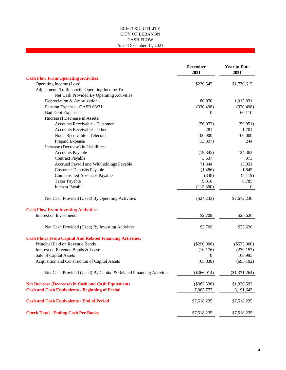#### ELECTRIC UTILITY CITY OF LEBANON CASH FLOW As of December 31, 2021

|                                                                    | <b>December</b><br>2021 | <b>Year to Date</b><br>2021 |
|--------------------------------------------------------------------|-------------------------|-----------------------------|
| <b>Cash Flow From Operating Activities:</b>                        |                         |                             |
| Operating Income (Loss)                                            | \$230,545               | \$1,730,615                 |
| Adjustments To Reconcile Operating Income To                       |                         |                             |
| Net Cash Provided By Operating Activities:                         |                         |                             |
| Depreciation & Amortization                                        | 86,070                  | 1,015,831                   |
| Pension Expense - GASB 68/71                                       | (320, 498)              | (320, 498)                  |
| <b>Bad Debt Expense</b>                                            | 0                       | 60,110                      |
| (Increase) Decrease in Assets:                                     |                         |                             |
| <b>Accounts Receivable - Customer</b>                              | (56, 972)               | (59, 951)                   |
| Accounts Receivable - Other                                        | 281                     | 1,701                       |
| Notes Receivable - Telecom                                         | 100,000                 | 100,000                     |
| Prepaid Expense                                                    | (13, 397)               | 244                         |
| Increase (Decrease) in Liabilities:                                |                         |                             |
| <b>Accounts Payable</b>                                            | (19, 345)               | 124,363                     |
| <b>Contract Payable</b>                                            | 3,637                   | 373                         |
| Accrued Payroll and Withholdings Payable                           | 71,344                  | 15,931                      |
| <b>Customer Deposits Payable</b>                                   | (1,486)                 | 1,845                       |
| <b>Compensated Absences Payable</b>                                | (338)                   | (5,119)                     |
| <b>Taxes Payable</b>                                               | 9,316                   | 6,785                       |
| <b>Interest Payable</b>                                            | (113,390)               | $\Omega$                    |
| Net Cash Provided (Used) By Operating Activities                   | $(\$24,233)$            | \$2,672,230                 |
| <b>Cash Flow From Investing Activities:</b>                        |                         |                             |
| Interest on Investments                                            | \$2,709                 | \$25,626                    |
| Net Cash Provided (Used) By Investing Activities                   | \$2,709                 | \$25,626                    |
| <b>Cash Flows From Capital And Related Financing Activities:</b>   |                         |                             |
| Principal Paid on Revenue Bonds                                    | $(\$290,000)$           | $(\$575,000)$               |
| Interest on Revenue Bonds & Lease                                  | (10, 176)               | (270, 157)                  |
| Sale of Capital Assets                                             | $\boldsymbol{0}$        | 168,995                     |
| Acquisition and Construction of Capital Assets                     | (65, 838)               | (695, 102)                  |
| Net Cash Provided (Used) By Capital & Related Financing Activities | $(\$366,014)$           | (\$1,371,264)               |
| <b>Net Increase (Decrease) in Cash and Cash Equivalents</b>        | $(\$387,538)$           | \$1,326,592                 |
| <b>Cash and Cash Equivalents - Beginning of Period</b>             | 7,905,773               | 6,191,643                   |
| <b>Cash and Cash Equivalents - End of Period</b>                   | \$7,518,235             | \$7,518,235                 |
| <b>Check Total - Ending Cash Per Books</b>                         | \$7,518,235             | \$7,518,235                 |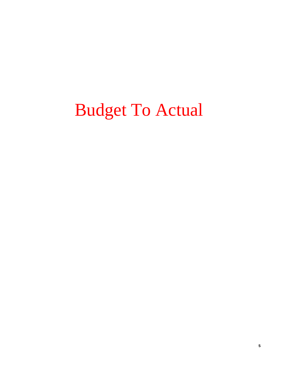## Budget To Actual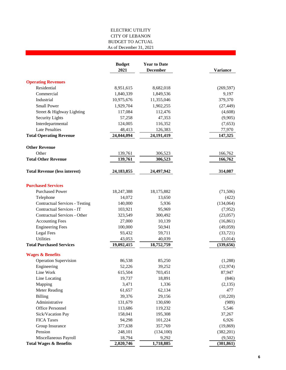#### ELECTRIC UTILITY CITY OF LEBANON As of December 31, 2021 BUDGET TO ACTUAL

|                                       | <b>Budget</b><br>2021 | <b>Year to Date</b><br><b>December</b> | <b>Variance</b> |
|---------------------------------------|-----------------------|----------------------------------------|-----------------|
| <b>Operating Revenues</b>             |                       |                                        |                 |
| Residential                           | 8,951,615             | 8,682,018                              | (269, 597)      |
| Commercial                            | 1,840,339             | 1,849,536                              | 9,197           |
| Industrial                            | 10,975,676            | 11,355,046                             | 379,370         |
| <b>Small Power</b>                    | 1,929,704             | 1,902,255                              | (27, 449)       |
| Street & Highway Lighting             | 117,084               | 112,476                                | (4,608)         |
| <b>Security Lights</b>                | 57,258                | 47,353                                 | (9,905)         |
| Interdepartmental                     | 124,005               | 116,352                                | (7,653)         |
| <b>Late Penalties</b>                 | 48,413                | 126,383                                | 77,970          |
| <b>Total Operating Revenue</b>        | 24,044,094            | 24,191,419                             | 147,325         |
| <b>Other Revenue</b>                  |                       |                                        |                 |
| Other                                 | 139,761               | 306,523                                | 166,762         |
| <b>Total Other Revenue</b>            | 139,761               | 306,523                                | 166,762         |
| <b>Total Revenue (less interest)</b>  | 24, 183, 855          | 24,497,942                             | 314,087         |
| <b>Purchased Services</b>             |                       |                                        |                 |
| <b>Purchased Power</b>                | 18,247,388            | 18,175,882                             | (71, 506)       |
| Telephone                             | 14,072                | 13,650                                 | (422)           |
| <b>Contractual Services - Testing</b> | 140,000               | 5,936                                  | (134,064)       |
| Contractual Services - IT             | 103,921               | 95,969                                 | (7,952)         |
| Contractual Services - Other          | 323,549               | 300,492                                | (23,057)        |
| <b>Accounting Fees</b>                | 27,000                | 10,139                                 | (16, 861)       |
| <b>Engineering Fees</b>               | 100,000               | 50,941                                 | (49,059)        |
| Legal Fees                            | 93,432                | 59,711                                 | (33, 721)       |
| Utilities                             | 43,053                | 40,039                                 | (3,014)         |
| <b>Total Purchased Services</b>       | 19,092,415            | 18,752,759                             | (339, 656)      |
| <b>Wages &amp; Benefits</b>           |                       |                                        |                 |
| <b>Operation Supervision</b>          | 86,538                | 85,250                                 | (1,288)         |
| Engineering                           | 52,226                | 39,252                                 | (12, 974)       |
| Line Work                             | 615,504               | 703,451                                | 87,947          |
| Line Locating                         | 19,737                | 18,891                                 | (846)           |
| Mapping                               | 3,471                 | 1,336                                  | (2,135)         |
| <b>Meter Reading</b>                  | 61,657                | 62,134                                 | 477             |
| <b>Billing</b>                        | 39,376                | 29,156                                 | (10, 220)       |
| Administrative                        | 131,679               | 130,690                                | (989)           |
| Office Personnel                      | 113,686               | 119,232                                | 5,546           |
| Sick/Vacation Pay                     | 158,041               | 195,308                                | 37,267          |
| <b>FICA Taxes</b>                     | 94,298                | 101,224                                | 6,926           |
| Group Insurance                       | 377,638               | 357,769                                | (19, 869)       |
| Pension                               | 248,101               | (134, 100)                             | (382, 201)      |
| Miscellaneous Payroll                 | 18,794                | 9,292                                  | (9,502)         |
| <b>Total Wages &amp; Benefits</b>     | 2,020,746             | 1,718,885                              | (301, 861)      |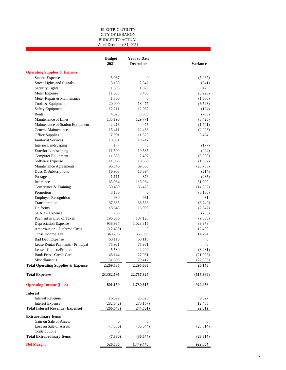#### ELECTRIC UTILITY CITY OF LEBANON BUDGET TO ACTUAL As of December 31, 2021

|                                               | <b>Budget</b><br>2021 | <b>Year to Date</b><br><b>December</b> | Variance             |
|-----------------------------------------------|-----------------------|----------------------------------------|----------------------|
| <b>Operating Supplies &amp; Expense</b>       |                       |                                        |                      |
| <b>Station Expenses</b>                       | 5,067                 | $\mathbf{0}$                           | (5,067)              |
| Street Lights and Signals                     | 3,188                 | 2,547                                  | (641)                |
| Security Lights                               | 1,398                 | 1,823                                  | 425                  |
| Meter Expense                                 | 11,633                | 8,405                                  | (3,228)              |
| Meter Repair & Maintenance                    | 1,500                 | 0                                      | (1,500)              |
| Tools & Equipment                             | 20,000                | 13,477                                 | (6,523)              |
| <b>Safety Equipment</b>                       | 12,211                | 12,087                                 | (124)                |
| Rents                                         | 4,623                 | 3,885                                  | (738)                |
| Maintenance of Lines                          | 135,196               | 129,771                                | (5, 425)             |
| Maintenance of Station Equipment              | 2,216                 | 475                                    | (1,741)              |
| General Maintenance                           | 15,411                | 12,488                                 | (2,923)              |
| Office Supplies                               | 7,901                 | 11,325                                 | 3,424                |
| <b>Janitorial Services</b>                    | 18,881                | 19,247                                 | 366                  |
| <b>Interior Landscaping</b>                   | 177                   | $\mathbf{0}$                           | (177)                |
| <b>Exterior Landscaping</b>                   | 11,509                | 10,585                                 | (924)                |
| Computer Equipment                            | 11,355                | 2,497                                  | (8, 858)             |
| Software Expense                              | 11,965                | 10,608                                 | (1,357)              |
| Maintenance Agreements                        | 96,340                | 69,560                                 | (26,780)             |
| Dues & Subscriptions                          | 16,908                | 16,694                                 | (214)                |
| Postage                                       | 1,111                 | 876                                    | (235)                |
| Insurance                                     | 65,064                | 116,964                                | 51,900               |
| Conference & Training                         | 50,480                | 36,428                                 | (14,052)             |
| Promotion                                     | 3,180                 | $\mathbf{0}$                           | (3,180)              |
| <b>Employee Recognition</b>                   | 930                   | 961                                    | 31                   |
| Transportation                                | 37,335                | 33,586                                 | (3,749)              |
| Uniforms                                      | 18,643                | 16,096                                 | (2,547)              |
| <b>SCADA</b> Expense                          | 700                   | $\mathbf{0}$                           | (700)                |
| Payment in Lieu of Taxes                      | 196,630               | 187,125                                | (9,505)              |
| Depreciation Expense                          | 938,937               | 1,028,315                              | 89,378               |
| Amortization - Deferred Costs                 | (12, 480)             | $\mathbf{0}$                           | 12,480               |
| Gross Income Tax                              | 340,206               | 355,000                                | 14,794               |
| <b>Bad Debt Expense</b>                       | 60,110                | 60,110                                 | $\boldsymbol{0}$     |
| Lease Rental Payments - Principal             | 75,981                | 75,981                                 | $\mathbf{0}$         |
| Lease - Copiers/Printers                      | 5,580                 |                                        | (3,281)              |
| <b>Bank Fees - Credit Card</b>                |                       | 2,299<br>27,051                        |                      |
| Miscellaneous                                 | 48,144<br>51,505      | 29,417                                 | (21,093)<br>(22,088) |
| <b>Total Operating Supplies &amp; Expense</b> | 2,269,535             | 2,295,683                              | 26,148               |
| <b>Total Expenses</b>                         | 23,382,696            | 22,767,327                             | (615,369)            |
|                                               |                       |                                        |                      |
| <b>Operating Income (Loss)</b>                | 801,159               | 1,730,615                              | 929,456              |
| <b>Interest</b>                               |                       |                                        |                      |
| <b>Interest Revenue</b>                       | 16,099                | 25,626                                 | 9,527                |
| <b>Interest Expense</b>                       | (282, 642)            | (270, 157)                             | 12,485               |
| <b>Total Interest Revenue (Expense)</b>       | (266, 543)            | (244, 531)                             | 22,012               |
| <b>Extraordinary Items</b>                    |                       |                                        |                      |
| Gain on Sale of Assets                        | $\boldsymbol{0}$      | $\boldsymbol{0}$                       | $\boldsymbol{0}$     |
| Loss on Sale of Assets                        | (7, 830)              | (36, 644)                              | (28, 814)            |
| Contributions                                 | $\bf{0}$              | 0                                      | $\theta$             |
| <b>Total Extraordinary Items</b>              | (7, 830)              | (36, 644)                              | (28, 814)            |
| <b>Net Margin</b>                             | 526,786               | 1,449,440                              | 922,654              |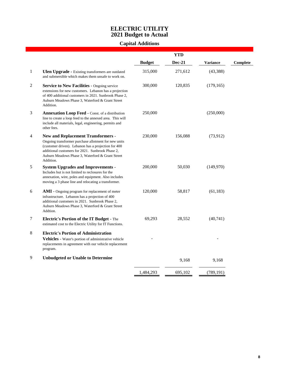### **ELECTRIC UTILITY 2021 Budget to Actual**

## **Capital Additions**

|                |                                                                                                                                                                                                                                                                               |               | <b>YTD</b>    |            |                 |
|----------------|-------------------------------------------------------------------------------------------------------------------------------------------------------------------------------------------------------------------------------------------------------------------------------|---------------|---------------|------------|-----------------|
|                |                                                                                                                                                                                                                                                                               | <b>Budget</b> | <b>Dec-21</b> | Variance   | <b>Complete</b> |
| $\mathbf{1}$   | <b>Ulen Upgrade - Existing transformers are outdated</b><br>and submersible which makes them unsafe to work on.                                                                                                                                                               | 315,000       | 271,612       | (43, 388)  |                 |
| $\overline{c}$ | <b>Service to New Facilities - Ongoing service</b><br>extensions for new customers. Lebanon has a projection<br>of 400 additional customers in 2021. Sunbrook Phase 2,<br>Auburn Meadows Phase 3, Waterford & Grant Street<br>Addition.                                       | 300,000       | 120,835       | (179, 165) |                 |
| 3              | <b>Annexation Loop Feed - Const. of a distribution</b><br>line to create a loop feed to the annexed area. This will<br>include all materials, legal, engineering, permits and<br>other fees.                                                                                  | 250,000       |               | (250,000)  |                 |
| 4              | <b>New and Replacement Transformers -</b><br>Ongoing transformer purchase allotment for new units<br>(customer driven). Lebanon has a projection for 400<br>additional customers for 2021. Sunbrook Phase 2,<br>Auburn Meadows Phase 3, Waterford & Grant Street<br>Addition. | 230,000       | 156,088       | (73,912)   |                 |
| 5              | <b>System Upgrades and Improvements -</b><br>Includes but is not limited to reclosures for the<br>annexation, wire, poles and equipment. Also includes<br>moving a 3 phase line and relocating a transformer.                                                                 | 200,000       | 50,030        | (149,970)  |                 |
| 6              | AMI - Ongoing program for replacement of meter<br>infrastructure. Lebanon has a projection of 400<br>additional customers in 2021. Sunbrook Phase 2,<br>Auburn Meadows Phase 3, Waterford & Grant Street<br>Addtion.                                                          | 120,000       | 58,817        | (61, 183)  |                 |
| 7              | <b>Electric's Portion of the IT Budget - The</b><br>estimated cost to the Electric Utility for IT Functions.                                                                                                                                                                  | 69,293        | 28,552        | (40, 741)  |                 |
| 8              | <b>Electric's Portion of Administration</b><br><b>Vehicles</b> - Water's portion of administrative vehicle<br>replacements in agreement with our vehicle replacement<br>program.                                                                                              |               |               |            |                 |
| 9              | <b>Unbudgeted or Unable to Determine</b>                                                                                                                                                                                                                                      |               | 9,168         | 9,168      |                 |
|                |                                                                                                                                                                                                                                                                               | 1,484,293     | 695,102       | (789, 191) |                 |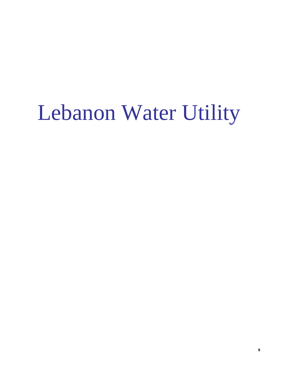# Lebanon Water Utility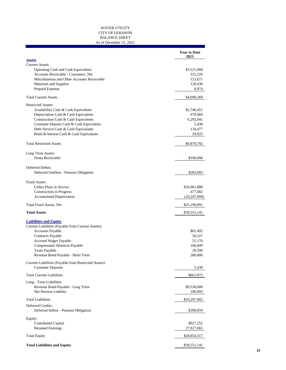#### WATER UTILITY CITY OF LEBANON BALANCE SHEET As of December 31, 2021

|                                                                                   | <b>Year to Date</b><br>2021 |
|-----------------------------------------------------------------------------------|-----------------------------|
| <b>Assets</b>                                                                     |                             |
| <b>Current Assets:</b><br>Operating Cash and Cash Equivalents                     | \$3,521,968                 |
| Accounts Receivable - Customers, Net                                              | 315,220                     |
| Miscellaneous and Other Accounts Receivable                                       | 123,671                     |
| Materials and Supplies                                                            | 128,436                     |
| Prepaid Expense                                                                   | 8,974                       |
| <b>Total Current Assets</b>                                                       | \$4,098,269                 |
| <b>Restricted Assets:</b>                                                         |                             |
| Availability Cash & Cash Equivalents                                              | \$2,746,451                 |
| Depreciation Cash & Cash Equivalents                                              | 670,460                     |
| Construction Cash & Cash Equivalents                                              | 6,292,041                   |
| Customer Deposit Cash & Cash Equivalents                                          | 5,438                       |
| Debt Service Cash & Cash Equivalants                                              | 134,477                     |
| Bond & Interest Cash & Cash Equivalants                                           | 29,925                      |
| <b>Total Restricted Assets</b>                                                    | \$9,878,792                 |
|                                                                                   |                             |
| Long Term Assets:<br>Notes Receivable                                             |                             |
|                                                                                   | \$100,096                   |
| Deferred Debits:                                                                  |                             |
| Deferred Outflow - Pension Obligation                                             | \$283,093                   |
|                                                                                   |                             |
| <b>Fixed Assets:</b><br>Utility Plant in Service                                  | \$34,961,888                |
| <b>Construction</b> in Progress                                                   | 477,002                     |
| <b>Accumulated Depreciation</b>                                                   | (10, 247, 999)              |
| <b>Total Fixed Assets, Net</b>                                                    | \$25,190,891                |
| <b>Total Assets</b>                                                               | \$39,551,141                |
|                                                                                   |                             |
| <b>Liabilities and Equity</b>                                                     |                             |
| Current Liabilities (Payable from Current Assets):                                |                             |
| <b>Accounts Payable</b>                                                           | \$81,492                    |
| Contracts Payable                                                                 | 50,327                      |
| <b>Accrued Wages Payable</b>                                                      | 51,176                      |
| <b>Compensated Absences Payable</b><br><b>Taxes Payable</b>                       | 166,849<br>20,590           |
| Revenue Bond Payable - Short Term                                                 | 286,000                     |
|                                                                                   |                             |
| Current Liabilities (Payable from Restricted Assets):<br><b>Customer Deposits</b> | 5,438                       |
| <b>Total Current Liabilities</b>                                                  | \$661,872                   |
| Long - Term Liabilities                                                           |                             |
| Revenue Bond Payable - Long Term                                                  | \$9,530,000                 |
| Net Pension Liability                                                             | 106,093                     |
| <b>Total Liabilities</b>                                                          | \$10,297,965                |
| Deferred Credits:                                                                 |                             |
| Deferred Inflow - Pension Obligation                                              | \$398,859                   |
| Equity:                                                                           |                             |
| Contributed Capital                                                               | \$927,252                   |
| <b>Retained Earnings</b>                                                          | 27,927,065                  |
| <b>Total Equity</b>                                                               | \$28,854,317                |
|                                                                                   |                             |
| <b>Total Liabilities and Equity</b>                                               | \$39,551,141                |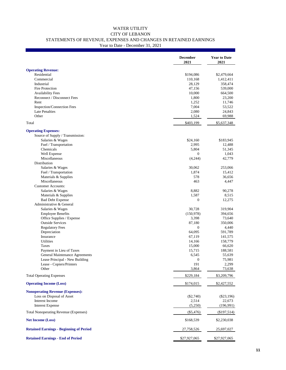#### WATER UTILITY CITY OF LEBANON STATEMENTS OF REVENUE, EXPENSES AND CHANGES IN RETAINED EARNINGS Year to Date - December 31, 2021

|                                                | <b>December</b><br>2021 | <b>Year to Date</b><br>2021 |
|------------------------------------------------|-------------------------|-----------------------------|
| <b>Operating Revenue:</b>                      |                         |                             |
| Residential                                    | \$194,086               | \$2,479,664                 |
| Commercial                                     | 110,168                 | 1,412,411                   |
| Industrial                                     | 28,129                  | 358,474                     |
| Fire Protection                                | 47,156                  | 539,000                     |
| <b>Availability Fees</b>                       | 10,000                  | 664,500                     |
| Reconnect / Disconnect Fees                    | 1,800                   | 23,200                      |
| Rent                                           | 1,252                   | 11,746                      |
| Inspection/Connection Fees                     | 7,004                   | 53,522                      |
| <b>Late Penalties</b>                          | 2,080                   | 24,843                      |
| Other                                          | 1,524                   | 69,988                      |
| Total                                          | \$403,199               | \$5,637,348                 |
| <b>Operating Expenses:</b>                     |                         |                             |
| Source of Supply / Transmission:               |                         |                             |
| Salaries & Wages                               | \$24,160                | \$183,945                   |
| Fuel / Transportation                          | 2,995                   | 12,488                      |
| Chemicals                                      | 5,804                   | 51,345                      |
| Well Expense                                   | $\mathbf{0}$            | 1,043                       |
| Miscellaneous                                  | (4,244)                 | 42,779                      |
| Distribution                                   |                         |                             |
| Salaries & Wages                               | 30,062                  | 253,066                     |
| Fuel / Transportation                          | 1,874                   | 15,412                      |
| Materials & Supplies                           | 578                     | 36,656                      |
| Miscellaneous                                  | 463                     | 4,447                       |
| <b>Customer Accounts:</b>                      |                         |                             |
| Salaries & Wages                               | 8,882                   | 90,278                      |
| Materials & Supplies                           | 1,587                   | 8,515                       |
| <b>Bad Debt Expense</b>                        | $\theta$                | 12,275                      |
| Administrative & General                       |                         |                             |
| Salaries & Wages                               | 30,728                  | 319,904                     |
| <b>Employee Benefits</b>                       | (150, 978)              | 394,656                     |
| Office Supplies / Expense                      | 3,398                   | 73,640                      |
| <b>Outside Services</b>                        | 87,180                  | 350,006                     |
| <b>Regulatory Fees</b>                         | $\boldsymbol{0}$        | 4,440                       |
| Depreciation                                   | 64,095                  | 591,789                     |
| Insurance                                      | 67,119                  | 141,575                     |
| <b>Utilities</b>                               | 14,166                  | 158,779                     |
| Taxes                                          | 15,000                  | 66,620                      |
| Payment in Lieu of Taxes                       | 15,715                  | 188,581                     |
| General Maintenance Agreements                 | 6,545                   | 55,639                      |
| Lease Principal - New Building                 | $\mathbf{0}$            | 75,981                      |
| Lease - Copiers/Printers<br>Other              | 191<br>3,864            | 2,299<br>73,638             |
| <b>Total Operating Expenses</b>                | \$229,184               | \$3,209,796                 |
| <b>Operating Income (Loss)</b>                 | \$174,015               | \$2,427,552                 |
|                                                |                         |                             |
| <b>Nonoperating Revenue (Expenses):</b>        |                         |                             |
| Loss on Disposal of Asset                      | $(\$2,740)$             | $(\$23,196)$                |
| Interest Income                                | 2,514                   | 22,673                      |
| <b>Interest Expense</b>                        | (5,250)                 | (196, 991)                  |
| Total Nonoperating Revenue (Expenses)          | $(\$5,476)$             | (\$197,514)                 |
| <b>Net Income (Loss)</b>                       | \$168,539               | \$2,230,038                 |
| <b>Retained Earnings - Beginning of Period</b> | 27,758,526              | 25,697,027                  |
| <b>Retained Earnings - End of Period</b>       | \$27,927,065            | \$27,927,065                |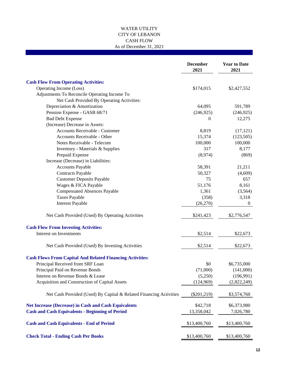#### WATER UTILITY CITY OF LEBANON CASH FLOW As of December 31, 2021

|                                                                    | <b>December</b><br>2021 | <b>Year to Date</b><br>2021 |
|--------------------------------------------------------------------|-------------------------|-----------------------------|
| <b>Cash Flow From Operating Activities:</b>                        |                         |                             |
| Operating Income (Loss)                                            | \$174,015               | \$2,427,552                 |
| Adjustments To Reconcile Operating Income To                       |                         |                             |
| Net Cash Provided By Operating Activities:                         |                         |                             |
| Depreciation & Amortization                                        | 64,095                  | 591,789                     |
| Pension Expense - GASB 68/71                                       | (246, 925)              | (246, 925)                  |
| <b>Bad Debt Expense</b>                                            | $\boldsymbol{0}$        | 12,275                      |
| (Increase) Decrease in Assets:                                     |                         |                             |
|                                                                    |                         |                             |
| Accounts Receivable - Customer                                     | 8,819                   | (17, 121)                   |
| Accounts Receivable - Other                                        | 15,374                  | (123, 505)                  |
| Notes Receivable - Telecom                                         | 100,000                 | 100,000                     |
| Inventory - Materials & Supplies                                   | 317                     | 8,177                       |
| Prepaid Expense                                                    | (8,974)                 | (869)                       |
| Increase (Decrease) in Liabilities:                                |                         |                             |
| <b>Accounts Payable</b>                                            | 58,391                  | 21,211                      |
| <b>Contracts Payable</b>                                           | 50,327                  | (4,609)                     |
| <b>Customer Deposits Payable</b>                                   | 75                      | 657                         |
| Wages & FICA Payable                                               | 51,176                  | 8,161                       |
| <b>Compensated Absences Payable</b>                                | 1,361                   | (3,564)                     |
| <b>Taxes Payable</b>                                               | (358)                   | 3,318                       |
| <b>Interest Payable</b>                                            | (26,270)                | $\overline{0}$              |
| Net Cash Provided (Used) By Operating Activities                   | \$241,423               | \$2,776,547                 |
| <b>Cash Flow From Investing Activities:</b>                        |                         |                             |
| Interest on Investments                                            | \$2,514                 | \$22,673                    |
|                                                                    |                         |                             |
| Net Cash Provided (Used) By Investing Activities                   | \$2,514                 | \$22,673                    |
| <b>Cash Flows From Capital And Related Financing Activities:</b>   |                         |                             |
| Principal Received from SRF Loan                                   | \$0                     | \$6,735,000                 |
| Principal Paid on Revenue Bonds                                    | (71,000)                | (141,000)                   |
| Interest on Revenue Bonds & Lease                                  | (5,250)                 | (196,991)                   |
| Acquisition and Construction of Capital Assets                     | (124, 969)              | (2,822,249)                 |
| Net Cash Provided (Used) By Capital & Related Financing Activities | $(\$201,219)$           | \$3,574,760                 |
| <b>Net Increase (Decrease) in Cash and Cash Equivalents</b>        | \$42,718                | \$6,373,980                 |
| <b>Cash and Cash Equivalents - Beginning of Period</b>             | 13,358,042              | 7,026,780                   |
| <b>Cash and Cash Equivalents - End of Period</b>                   | \$13,400,760            | \$13,400,760                |
| <b>Check Total - Ending Cash Per Books</b>                         | \$13,400,760            | \$13,400,760                |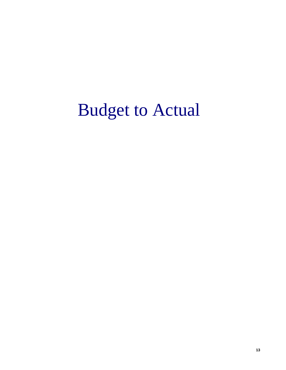## Budget to Actual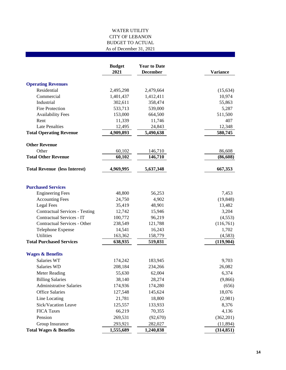#### WATER UTILITY CITY OF LEBANON BUDGET TO ACTUAL As of December 31, 2021

|                                       | <b>Budget</b><br>2021 | <b>Year to Date</b><br><b>December</b> | <b>Variance</b> |
|---------------------------------------|-----------------------|----------------------------------------|-----------------|
| <b>Operating Revenues</b>             |                       |                                        |                 |
| Residential                           | 2,495,298             | 2,479,664                              | (15, 634)       |
| Commercial                            | 1,401,437             | 1,412,411                              | 10,974          |
| Industrial                            | 302,611               | 358,474                                | 55,863          |
| <b>Fire Protection</b>                | 533,713               | 539,000                                | 5,287           |
| <b>Availability Fees</b>              | 153,000               | 664,500                                | 511,500         |
| Rent                                  | 11,339                | 11,746                                 | 407             |
| <b>Late Penalties</b>                 | 12,495                | 24,843                                 | 12,348          |
| <b>Total Operating Revenue</b>        | 4,909,893             | 5,490,638                              | 580,745         |
| <b>Other Revenue</b>                  |                       |                                        |                 |
| Other                                 | 60,102                | 146,710                                | 86,608          |
| <b>Total Other Revenue</b>            | 60,102                | 146,710                                | (86, 608)       |
| <b>Total Revenue (less Interest)</b>  | 4,969,995             | 5,637,348                              | 667,353         |
| <b>Purchased Services</b>             |                       |                                        |                 |
| <b>Engineering Fees</b>               | 48,800                | 56,253                                 | 7,453           |
| <b>Accounting Fees</b>                | 24,750                | 4,902                                  | (19, 848)       |
| <b>Legal Fees</b>                     | 35,419                | 48,901                                 | 13,482          |
| <b>Contractual Services - Testing</b> | 12,742                | 15,946                                 | 3,204           |
| Contractual Services - IT             | 100,772               | 96,219                                 | (4, 553)        |
| Contractual Services - Other          | 238,549               | 121,788                                | (116,761)       |
| Telephone Expense                     | 14,541                | 16,243                                 | 1,702           |
| <b>Utilities</b>                      | 163,362               | 158,779                                | (4,583)         |
| <b>Total Purchased Services</b>       | 638,935               | 519,031                                | (119,904)       |
| <b>Wages &amp; Benefits</b>           |                       |                                        |                 |
| Salaries WT                           | 174,242               | 183,945                                | 9,703           |
| Salaries WD                           | 208,184               | 234,266                                | 26,082          |
| <b>Meter Reading</b>                  | 55,630                | 62,004                                 | 6,374           |
| <b>Billing Salaries</b>               | 38,140                | 28,274                                 | (9,866)         |
| <b>Administrative Salaries</b>        | 174,936               | 174,280                                | (656)           |
| <b>Office Salaries</b>                | 127,548               | 145,624                                | 18,076          |
| Line Locating                         | 21,781                | 18,800                                 | (2,981)         |
| Sick/Vacation Leave                   | 125,557               | 133,933                                | 8,376           |
| <b>FICA Taxes</b>                     | 66,219                | 70,355                                 | 4,136           |
| Pension                               | 269,531               | (92,670)                               | (362, 201)      |
| Group Insurance                       | 293,921               | 282,027                                | (11, 894)       |
| <b>Total Wages &amp; Benefits</b>     | 1,555,689             | 1,240,838                              | (314, 851)      |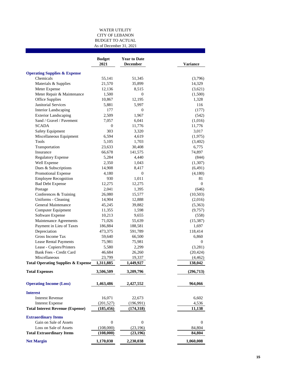#### WATER UTILITY CITY OF LEBANON BUDGET TO ACTUAL As of December 31, 2021

|                                               | <b>Budget</b><br>2021 | <b>Year to Date</b><br><b>December</b> | Variance         |
|-----------------------------------------------|-----------------------|----------------------------------------|------------------|
| <b>Operating Supplies &amp; Expense</b>       |                       |                                        |                  |
| Chemicals                                     | 55,141                | 51,345                                 | (3,796)          |
| Materials & Supplies                          | 21,570                | 35,899                                 | 14,329           |
| Meter Expense                                 | 12,136                | 8,515                                  | (3,621)          |
| Meter Repair & Maintenance                    | 1,500                 | $\boldsymbol{0}$                       | (1,500)          |
| Office Supplies                               | 10,867                | 12,195                                 | 1,328            |
| <b>Janitorial Services</b>                    | 5,881                 | 5,997                                  | 116              |
| <b>Interior Landscaping</b>                   | 177                   | 0                                      | (177)            |
| <b>Exterior Landscaping</b>                   | 2,509                 | 1,967                                  | (542)            |
| Sand / Gravel / Pavement                      | 7,057                 | 6,041                                  | (1,016)          |
| <b>SCADA</b>                                  | 0                     | 11,776                                 | 11,776           |
| Safety Equipment                              | 303                   | 3,320                                  | 3,017            |
| Miscellaneous Equipment                       | 6,594                 | 4,619                                  | (1,975)          |
| <b>Tools</b>                                  | 5,105                 | 1,703                                  | (3,402)          |
| Transportation                                | 23,633                | 30,408                                 | 6,775            |
| Insurance                                     | 66,678                | 141,575                                | 74,897           |
| <b>Regulatory Expense</b>                     | 5,284                 | 4,440                                  | (844)            |
| Well Expense                                  | 2,350                 | 1,043                                  | (1,307)          |
| Dues & Subscriptions                          | 14,908                | 8,417                                  | (6,491)          |
| Promotional Expense                           | 4,180                 | $\mathbf{0}$                           | (4,180)          |
| <b>Employee Recognition</b>                   | 930                   | 1,011                                  | 81               |
| <b>Bad Debt Expense</b>                       | 12,275                | 12,275                                 | $\boldsymbol{0}$ |
| Postage                                       | 2,041                 | 1,395                                  | (646)            |
| Conferences & Training                        | 26,080                | 15,577                                 | (10, 503)        |
| Uniforms - Cleaning                           | 14,904                | 12,888                                 | (2,016)          |
| General Maintenance                           | 45,245                | 39,882                                 | (5,363)          |
| Computer Equipment                            | 11,355                | 1,598                                  | (9,757)          |
| Software Expense                              | 10,213                | 9,655                                  | (558)            |
| Maintenance Agreements                        | 71,026                | 55,639                                 | (15, 387)        |
| Payment in Lieu of Taxes                      | 186,884               | 188,581                                | 1,697            |
| Depreciation                                  | 473,375               | 591,789                                | 118,414          |
| Gross Income Tax                              | 59,640                | 66,500                                 | 6,860            |
| <b>Lease Rental Payments</b>                  | 75,981                | 75,981                                 | 0                |
| Lease - Copiers/Printers                      | 5,580                 | 2,299                                  | (3,281)          |
| Bank Fees - Credit Card                       | 46,684                | 26,260                                 | (20, 424)        |
| Miscellaneous                                 | 23,799                | 19,337                                 | (4, 462)         |
| <b>Total Operating Supplies &amp; Expense</b> | 1,311,885             | 1,449,927                              | 138,042          |
| <b>Total Expenses</b>                         | 3,506,509             | 3,209,796                              | (296,713)        |
| <b>Operating Income (Loss)</b>                | 1,463,486             | 2,427,552                              | 964,066          |
|                                               |                       |                                        |                  |
| <b>Interest</b>                               |                       |                                        |                  |
| <b>Interest Revenue</b>                       | 16,071                | 22,673                                 | 6,602            |
| <b>Interest Expense</b>                       | (201, 527)            | (196,991)                              | 4,536            |
| <b>Total Interest Revenue (Expense)</b>       | (185, 456)            | (174, 318)                             | 11,138           |
| <b>Extraordinary Items</b>                    |                       |                                        |                  |
| Gain on Sale of Assets                        | $\boldsymbol{0}$      | 0                                      | 0                |
| Loss on Sale of Assets                        | (108,000)             | (23, 196)                              | 84,804           |
| <b>Total Extraordinary Items</b>              | (108,000)             | (23,196)                               | 84,804           |
| <b>Net Margin</b>                             | 1,170,030             | 2,230,038                              | 1,060,008        |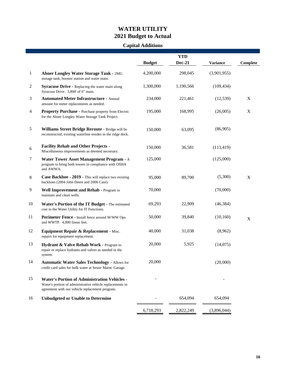## **WATER UTILITY 2021 Budget to Actual**

## **Capital Additions**

|                |                                                                                                                                                                     | <b>Budget</b> | <b>YTD</b><br><b>Dec-21</b> | <b>Variance</b> | Complete |
|----------------|---------------------------------------------------------------------------------------------------------------------------------------------------------------------|---------------|-----------------------------|-----------------|----------|
| $\mathbf{1}$   | <b>Abner Longley Water Storage Tank - 2MG</b><br>storage tank, booster station and water main.                                                                      | 4,200,000     | 298,045                     | (3,901,955)     |          |
| $\overline{2}$ | <b>Syracuse Drive - Replacing the water main along</b><br>Syracuse Drive. 3,800' of 6" main.                                                                        | 1,300,000     | 1,190,566                   | (109, 434)      |          |
| 3              | <b>Automated Meter Infrastructure - Annual</b><br>amount for meter replacements as needed.                                                                          | 234,000       | 221,461                     | (12, 539)       | X        |
| $\overline{4}$ | Property Purchase - Purchase property from Electric<br>for the Abner Longley Water Storage Tank Project.                                                            | 195,000       | 168,995                     | (26,005)        | X        |
| 5              | Williams Street Bridge Reroute - Bridge will be<br>reconstructed, existing waterline resides in the ridge deck.                                                     | 150,000       | 63,095                      | (86,905)        |          |
| 6              | <b>Facility Rehab and Other Projects -</b><br>Miscellaneous improvements as deemed necessary.                                                                       | 150,000       | 36,581                      | (113, 419)      |          |
| $\tau$         | Water Tower Asset Management Program - A<br>program to bring both towers in compliance with OSHA<br>and AWWA.                                                       | 125,000       |                             | (125,000)       |          |
| 8              | Case Backhoe - 2019 - This will replace two existing<br>backhoes (2004 John Deere and 2006 Case).                                                                   | 95,000        | 89,700                      | (5,300)         | X        |
| 9              | Well Improvement and Rehab - Program to<br>maintain and clean wells.                                                                                                | 70,000        |                             | (70,000)        |          |
| 10             | Water's Portion of the IT Budget - The estimated<br>cost to the Water Utility for IT Functions.                                                                     | 69,293        | 22,909                      | (46, 384)       |          |
| 11             | Perimeter Fence - Install fence around W/WW Ops<br>and WWTP. 4,000 linear feet.                                                                                     | 50,000        | 39,840                      | (10, 160)       | X        |
| 12             | Equipment Repair & Replacement - Misc.<br>repairs for equipment replacement.                                                                                        | 40,000        | 31,038                      | (8,962)         |          |
| 13             | Hydrant & Valve Rehab Work - Program to<br>repair or replace hydrants and valves as needed in the<br>system.                                                        | 20,000        | 5,925                       | (14,075)        |          |
| 14             | <b>Automatic Water Sales Technology - Allows for</b><br>credit card sales for bulk water at Sewer Maint. Garage.                                                    | 20,000        |                             | (20,000)        |          |
| 15             | <b>Water's Portion of Administration Vehicles -</b><br>Water's portion of administrative vehicle replacements in<br>agreement with our vehicle replacement program. |               |                             |                 |          |
| 16             | <b>Unbudgeted or Unable to Determine</b>                                                                                                                            |               | 654,094                     | 654,094         |          |
|                |                                                                                                                                                                     | 6,718,293     | 2,822,249                   | (3,896,044)     |          |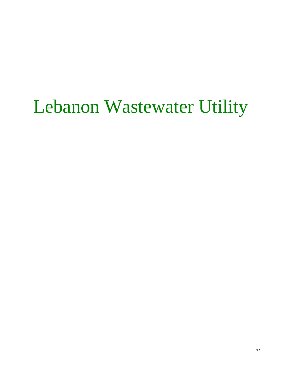## Lebanon Wastewater Utility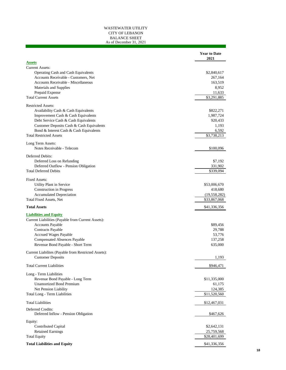#### WASTEWATER UTILITY CITY OF LEBANON BALANCE SHEET As of December 31, 2021

|                                                                             | <b>Year to Date</b><br>2021 |
|-----------------------------------------------------------------------------|-----------------------------|
| <b>Assets</b>                                                               |                             |
| <b>Current Assets:</b>                                                      |                             |
| Operating Cash and Cash Equivalents<br>Accounts Receivable - Customers, Net | \$2,840,617<br>267,164      |
| Accounts Receivable - Miscellaneous                                         | 163,519                     |
| Materials and Supplies                                                      | 8,952                       |
| Prepaid Expense                                                             | 11,633                      |
| <b>Total Current Assets</b>                                                 | \$3,291,885                 |
| <b>Restricted Assets:</b>                                                   |                             |
| Availability Cash & Cash Equivalents                                        | \$822,271                   |
| Improvement Cash & Cash Equivalents                                         | 1,987,724                   |
| Debt Service Cash & Cash Equivalents                                        | 920,433                     |
| Customer Deposits Cash & Cash Equivalents                                   | 1,193                       |
| Bond & Interest Cash & Cash Equivalents                                     | 6,592                       |
| <b>Total Restricted Assets</b>                                              | \$3,738,213                 |
| Long Term Assets:                                                           |                             |
| Notes Receivable - Telecom                                                  | \$100,096                   |
| Deferred Debits:<br>Deferred Loss on Refunding                              | \$7,192                     |
| Deferred Outflow - Pension Obligation                                       | 331,902                     |
| <b>Total Deferred Debits</b>                                                | \$339,094                   |
| <b>Fixed Assets:</b>                                                        |                             |
| Utility Plant in Service                                                    | \$53,006,670                |
| Construction in Progress                                                    | 418,680                     |
| <b>Accumulated Depreciation</b>                                             | (19, 558, 282)              |
| <b>Total Fixed Assets, Net</b>                                              | \$33,867,068                |
| <b>Total Assets</b>                                                         | \$41,336,356                |
| <b>Liabilities and Equity</b>                                               |                             |
| Current Liabilities (Payable from Current Assets):                          |                             |
| Accounts Payable                                                            | \$89,456                    |
| <b>Contracts Payable</b>                                                    | 29,788                      |
| Accrued Wages Payable                                                       | 53,776                      |
| <b>Compensated Absences Payable</b>                                         | 137,258                     |
| Revenue Bond Payable - Short Term                                           | 635,000                     |
| Current Liabilites (Payable from Restricted Assets):                        |                             |
| <b>Customer Deposits</b>                                                    | 1,193                       |
| <b>Total Current Liabilities</b>                                            | \$946,471                   |
| Long - Term Liabilities                                                     |                             |
| Revenue Bond Payable - Long Term                                            | \$11,335,000                |
| <b>Unamortized Bond Premium</b>                                             | 61,175                      |
| Net Pension Liability                                                       | 124,385                     |
| Total Long - Term Liabilities                                               | \$11,520,560                |
| <b>Total Liabilities</b>                                                    | \$12,467,031                |
| Deferred Credits:<br>Deferred Inflow - Pension Obligation                   | \$467,626                   |
| Equity:                                                                     |                             |
| Contributed Capital                                                         | \$2,642,131                 |
| <b>Retained Earnings</b>                                                    | 25,759,568                  |
| <b>Total Equity</b>                                                         | \$28,401,699                |
| <b>Total Liabilities and Equity</b>                                         | \$41,336,356                |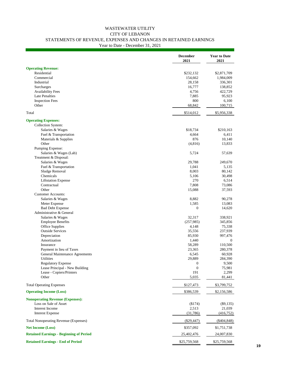### WASTEWATER UTILITY CITY OF LEBANON STATEMENTS OF REVENUE, EXPENSES AND CHANGES IN RETAINED EARNINGS

Year to Date - December 31, 2021

|                                                | <b>December</b><br>2021 | <b>Year to Date</b><br>2021 |
|------------------------------------------------|-------------------------|-----------------------------|
| <b>Operating Revenue:</b>                      |                         |                             |
| Residential                                    | \$232,132               | \$2,871,709                 |
| Commercial                                     | 154,662                 | 1,984,009                   |
| Industrial                                     | 28,158                  | 336,301                     |
| Surcharges                                     | 16,777                  | 138,852                     |
| <b>Availability Fees</b>                       | 4,756                   | 422,729                     |
| <b>Late Penalties</b>                          | 7,885                   | 95,923                      |
| <b>Inspection Fees</b>                         | 800                     | 6,100                       |
| Other                                          | 68,842                  | 100,715                     |
| Total                                          | \$514,012               | \$5,956,338                 |
| <b>Operating Expenses:</b>                     |                         |                             |
| Collection System:                             |                         |                             |
| Salaries & Wages                               | \$18,734                | \$210,163                   |
| Fuel & Transportation                          | 4,664                   | 6,411                       |
| Materials & Supplies                           | 876                     | 10,140                      |
| Other                                          | (4, 816)                | 13,833                      |
| Pumping Expense:                               |                         |                             |
| Salaries & Wages (Lab)                         | 5,724                   | 57,639                      |
| Treatment & Disposal:                          |                         |                             |
| Salaries & Wages                               | 29,788                  | 249,670                     |
| Fuel & Transportation                          | 1,041                   | 5,135                       |
| Sludge Removal                                 | 8,003                   | 80,142                      |
| Chemicals                                      | 5,106                   | 30,498                      |
| <b>Liftstation Expense</b>                     | 270                     | 6,514                       |
| Contractual                                    | 7,808                   | 73,086                      |
| Other                                          | 15,088                  | 37,593                      |
| <b>Customer Accounts:</b>                      |                         |                             |
| Salaries & Wages                               | 8,882                   | 90,278                      |
| Meter Expense                                  | 1,585                   | 13,083                      |
| <b>Bad Debt Expense</b>                        | $\boldsymbol{0}$        | 14,620                      |
| Administrative & General                       |                         |                             |
| Salaries & Wages                               | 32,317                  | 338,921                     |
| <b>Employee Benefits</b>                       | (257,985)               | 345,856                     |
| Office Supplies                                | 4,148                   | 75,338                      |
| <b>Outside Services</b>                        | 35,556                  | 237,939                     |
| Depreciation                                   | 85,930                  | 997,476                     |
| Amortization                                   | 1,440                   | $\theta$                    |
| Insurance                                      | 58,289                  | 110,500                     |
| Payment in lieu of Taxes                       | 23,365                  | 280,378                     |
| General Maintenance Agreements                 | 6,545                   | 60,928                      |
| Utilities                                      | 29,889                  | 284,390                     |
| <b>Regulatory Expense</b>                      | $\boldsymbol{0}$        | 9,500                       |
| Lease Principal - New Building                 | $\boldsymbol{0}$        | 75,981                      |
| Lease - Copiers/Printers                       | 191                     | 2,299                       |
| Other                                          | 5,035                   | 81,441                      |
| <b>Total Operating Expenses</b>                | \$127,473               | \$3,799,752                 |
| <b>Operating Income (Loss)</b>                 | \$386,539               | \$2,156,586                 |
| <b>Nonoperating Revenue (Expenses):</b>        |                         |                             |
| Loss on Sale of Asset                          | (\$174)                 | $(\$9,135)$                 |
| Interest Income                                | 2,513                   | 21,039                      |
| <b>Interest Expense</b>                        | (31,786)                | (416, 752)                  |
| <b>Total Nonoperating Revenue (Expenses)</b>   | $(\$29,447)$            | (\$404,848)                 |
| <b>Net Income (Loss)</b>                       | \$357,092               | \$1,751,738                 |
| <b>Retained Earnings - Beginning of Period</b> | 25,402,476              | 24,007,830                  |
| <b>Retained Earnings - End of Period</b>       | \$25,759,568            | \$25,759,568                |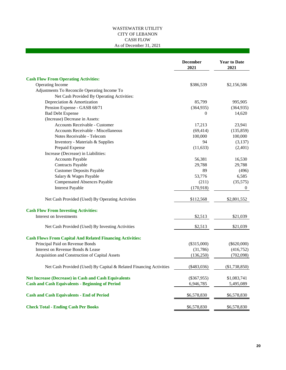#### WASTEWATER UTILITY CITY OF LEBANON CASH FLOW As of December 31, 2021

|                                                                    | <b>December</b><br>2021 | <b>Year to Date</b><br>2021 |
|--------------------------------------------------------------------|-------------------------|-----------------------------|
| <b>Cash Flow From Operating Activities:</b>                        |                         |                             |
| Operating Income                                                   | \$386,539               | \$2,156,586                 |
| Adjustments To Reconcile Operating Income To                       |                         |                             |
| Net Cash Provided By Operating Activities:                         |                         |                             |
| Depreciation & Amortization                                        | 85,799                  | 995,905                     |
| Pension Expense - GASB 68/71                                       | (364, 935)              | (364, 935)                  |
| <b>Bad Debt Expense</b>                                            | 0                       | 14,620                      |
| (Increase) Decrease in Assets:                                     |                         |                             |
| Accounts Receivable - Customer                                     | 17,213                  | 23,941                      |
| Accounts Receivable - Miscellaneous                                | (69, 414)               | (135, 859)                  |
| Notes Receivable - Telecom                                         | 100,000                 | 100,000                     |
| Inventory - Materials & Supplies                                   | 94                      | (3,137)                     |
| Prepaid Expense                                                    | (11, 633)               | (2,401)                     |
| Increase (Decrease) in Liabilities:                                |                         |                             |
| Accounts Payable                                                   | 56,381                  | 16,530                      |
| Contracts Payable                                                  | 29,788                  | 29,788                      |
| <b>Customer Deposits Payable</b>                                   | 89                      | (496)                       |
| Salary & Wages Payable                                             | 53,776                  | 6,585                       |
| <b>Compensated Absences Payable</b>                                | (211)                   | (35,575)                    |
| <b>Interest Payable</b>                                            | (170, 918)              | 0                           |
| Net Cash Provided (Used) By Operating Activities                   | \$112,568               | \$2,801,552                 |
| <b>Cash Flow From Investing Activities:</b>                        |                         |                             |
| Interest on Investments                                            | \$2,513                 | \$21,039                    |
| Net Cash Provided (Used) By Investing Activities                   | \$2,513                 | \$21,039                    |
| <b>Cash Flows From Capital And Related Financing Activities:</b>   |                         |                             |
| Principal Paid on Revenue Bonds                                    | $(\$315,000)$           | $(\$620,000)$               |
| Interest on Revenue Bonds & Lease                                  | (31,786)                | (416,752)                   |
| Acquisition and Construction of Capital Assets                     | (136, 250)              | (702,098)                   |
| Net Cash Provided (Used) By Capital & Related Financing Activities | $(*483,036)$            | (\$1,738,850)               |
| <b>Net Increase (Decrease) in Cash and Cash Equivalents</b>        | $(\$367,955)$           | \$1,083,741                 |
| <b>Cash and Cash Equivalents - Beginning of Period</b>             | 6,946,785               | 5,495,089                   |
| <b>Cash and Cash Equivalents - End of Period</b>                   | \$6,578,830             | \$6,578,830                 |
| <b>Check Total - Ending Cash Per Books</b>                         | \$6,578,830             | \$6,578,830                 |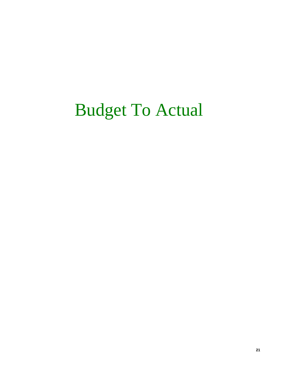## Budget To Actual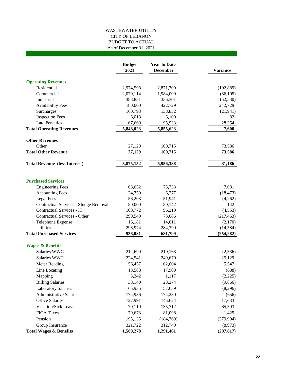#### WASTEWATER UTILITY CITY OF LEBANON BUDGET TO ACTUAL As of December 31, 2021

|                                                                    | <b>Budget</b><br>2021 | <b>Year to Date</b><br><b>December</b> | <b>Variance</b> |
|--------------------------------------------------------------------|-----------------------|----------------------------------------|-----------------|
| <b>Operating Revenues</b>                                          |                       |                                        |                 |
| Residential                                                        | 2,974,598             | 2,871,709                              | (102, 889)      |
| Commercial                                                         | 2,070,114             | 1,984,009                              | (86, 105)       |
| Industrial                                                         | 388,831               | 336,301                                | (52, 530)       |
| <b>Availability Fees</b>                                           | 180,000               | 422,729                                | 242,729         |
| Surcharges                                                         | 160,793               | 138,852                                | (21, 941)       |
| <b>Inspection Fees</b>                                             | 6,018                 | 6,100                                  | 82              |
| <b>Late Penalties</b>                                              | 67,669                | 95,923                                 | 28,254          |
| <b>Total Operating Revenues</b>                                    | 5,848,023             | 5,855,623                              | 7,600           |
| <b>Other Revenues</b>                                              |                       |                                        |                 |
| Other                                                              | 27,129                | 100,715                                | 73,586          |
| <b>Total Other Revenue</b>                                         | 27,129                | 100,715                                | 73,586          |
| <b>Total Revenue (less Interest)</b>                               | 5,875,152             | 5,956,338                              | 81,186          |
|                                                                    |                       |                                        |                 |
| <b>Purchased Services</b>                                          |                       |                                        |                 |
| <b>Engineering Fees</b>                                            | 68,652                | 75,733                                 | 7,081           |
| <b>Accounting Fees</b>                                             | 24,750                | 6,277                                  | (18, 473)       |
| <b>Legal Fees</b>                                                  | 56,203                | 51,941                                 | (4,262)         |
| Contractual Services - Sludge Removal<br>Contractual Services - IT | 80,000                | 80,142                                 | 142             |
|                                                                    | 100,772               | 96,219                                 | (4, 553)        |
| Contractual Services - Other                                       | 290,549               | 73,086                                 | (217, 463)      |
| Telephone Expense<br><b>Utilities</b>                              | 16,181                | 14,011                                 | (2,170)         |
| <b>Total Purchased Services</b>                                    | 298,974               | 284,390                                | (14, 584)       |
|                                                                    | 936,081               | 681,799                                | (254, 282)      |
| <b>Wages &amp; Benefits</b>                                        |                       |                                        |                 |
| Salaries WWC                                                       | 212,699               | 210,163                                | (2,536)         |
| Salaries WWT                                                       | 224,541               | 249,670                                | 25,129          |
| <b>Meter Reading</b>                                               | 56,457                | 62,004                                 | 5,547           |
| Line Locating                                                      | 18,588                | 17,900                                 | (688)           |
| Mapping                                                            | 3,342                 | 1,117                                  | (2,225)         |
| <b>Billing Salaries</b>                                            | 38,140                | 28,274                                 | (9,866)         |
| <b>Laboratory Salaries</b>                                         | 65,935                | 57,639                                 | (8,296)         |
| <b>Administrative Salaries</b>                                     | 174,936               | 174,280                                | (656)           |
| <b>Office Salaries</b>                                             | 127,991               | 145,624                                | 17,633          |
| Vacation/Sick Leave                                                | 70,119                | 135,712                                | 65,593          |
| <b>FICA Taxes</b>                                                  | 79,673                | 81,098                                 | 1,425           |
| Pension                                                            | 195,135               | (184, 769)                             | (379, 904)      |
| Group Insurance                                                    | 321,722               | 312,749                                | (8,973)         |
| <b>Total Wages &amp; Benefits</b>                                  | 1,589,278             | 1,291,461                              | (297, 817)      |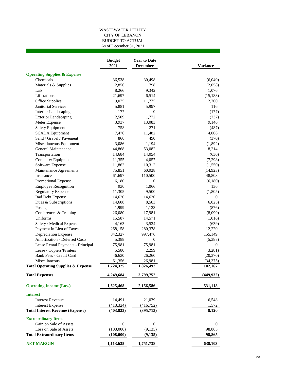#### WASTEWATER UTILITY CITY OF LEBANON BUDGET TO ACTUAL As of December 31, 2021

|                                               | <b>Budget</b><br>2021 | <b>Year to Date</b><br><b>December</b> | <b>Variance</b>  |
|-----------------------------------------------|-----------------------|----------------------------------------|------------------|
| <b>Operating Supplies &amp; Expense</b>       |                       |                                        |                  |
| Chemicals                                     | 36,538                | 30,498                                 | (6,040)          |
| Materials & Supplies                          | 2,856                 | 798                                    | (2,058)          |
| Lab                                           | 8,266                 | 9,342                                  | 1,076            |
| Liftstations                                  | 21,697                | 6,514                                  | (15, 183)        |
| Office Supplies                               | 9,075                 | 11,775                                 | 2,700            |
| <b>Janitorial Services</b>                    | 5,881                 | 5,997                                  | 116              |
| <b>Interior Landscaping</b>                   | 177                   | $\boldsymbol{0}$                       | (177)            |
| <b>Exterior Landscaping</b>                   | 2,509                 | 1,772                                  | (737)            |
| Meter Expense                                 | 3,937                 | 13,083                                 | 9,146            |
| Safety Equipment                              | 758                   | 271                                    | (487)            |
| <b>SCADA</b> Equipment                        | 7,476                 | 11,482                                 | 4,006            |
| Sand / Gravel / Pavement                      | 860                   | 490                                    | (370)            |
| Miscellaneous Equipment                       | 3,086                 | 1,194                                  | (1,892)          |
| General Maintenance                           | 44,868                | 53,082                                 | 8,214            |
| Transportation                                | 14,684                | 14,054                                 | (630)            |
| Computer Equipment                            | 11,355                | 4,057                                  | (7,298)          |
| Software Expense                              | 11,862                | 10,312                                 | (1,550)          |
| Maintenance Agreements                        | 75,851                | 60,928                                 | (14, 923)        |
| Insurance                                     | 61,697                | 110,500                                | 48,803           |
| Promotional Expense                           | 6,180                 | $\overline{0}$                         | (6,180)          |
| <b>Employee Recognition</b>                   | 930                   | 1,066                                  | 136              |
| <b>Regulatory Expense</b>                     | 11,305                | 9,500                                  | (1,805)          |
| <b>Bad Debt Expense</b>                       | 14,620                | 14,620                                 | 0                |
| Dues & Subscriptions                          | 14,608                | 8,583                                  | (6,025)          |
| Postage                                       | 1,999                 | 1,123                                  | (876)            |
| Conferences & Training                        | 26,080                | 17,981                                 | (8,099)          |
| Uniforms                                      | 15,587                | 14,571                                 | (1,016)          |
| Safety / Medical Expense                      | 4,163                 | 3,524                                  | (639)            |
| Payment in Lieu of Taxes                      | 268,158               | 280,378                                | 12,220           |
| Depreciation Expense                          | 842,327               | 997,476                                | 155,149          |
| <b>Amortization - Deferred Costs</b>          | 5,388                 | 0                                      | (5,388)          |
| Lease Rental Payments - Principal             | 75,981                | 75,981                                 | $\boldsymbol{0}$ |
| Lease - Copiers/Printers                      | 5,580                 | 2,299                                  | (3,281)          |
| Bank Fees - Credit Card                       | 46,630                | 26,260                                 | (20, 370)        |
| Miscellaneous                                 | 61,356                | 26,981                                 | (34, 375)        |
| <b>Total Operating Supplies &amp; Expense</b> | 1,724,325             | 1,826,492                              | 102,167          |
| <b>Total Expenses</b>                         | 4,249,684             | 3,799,752                              | (449, 932)       |
| <b>Operating Income (Loss)</b>                | 1,625,468             | 2,156,586                              | 531,118          |
| <b>Interest</b>                               |                       |                                        |                  |
| <b>Interest Revenue</b>                       | 14,491                | 21,039                                 | 6,548            |
| <b>Interest Expense</b>                       | (418, 324)            | (416, 752)                             | 1,572            |
| <b>Total Interest Revenue (Expense)</b>       | (403, 833)            | (395,713)                              | 8,120            |
| <b>Extraordinary Items</b>                    |                       |                                        |                  |
| Gain on Sale of Assets                        | $\mathbf{0}$          | 0                                      | $\boldsymbol{0}$ |
| Loss on Sale of Assets                        | (108,000)             | (9, 135)                               | 98,865           |
| <b>Total Extraordinary Items</b>              | (108,000)             | (9, 135)                               | 98,865           |
| <b>NET MARGIN</b>                             | 1,113,635             | 1,751,738                              | 638,103          |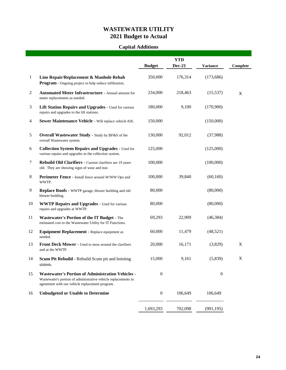## **WASTEWATER UTILITY 2021 Budget to Actual**

## **Capital Additions**

|                |                                                                                                                                                                               |                  | <b>YTD</b>    |                  |          |
|----------------|-------------------------------------------------------------------------------------------------------------------------------------------------------------------------------|------------------|---------------|------------------|----------|
|                |                                                                                                                                                                               | <b>Budget</b>    | <b>Dec-21</b> | <b>Variance</b>  | Complete |
| $\mathbf{1}$   | Line Repair/Replacement & Manhole Rehab<br>Program - Ongoing project to help reduce infiltration.                                                                             | 350,000          | 176,314       | (173, 686)       |          |
| $\overline{c}$ | <b>Automated Meter Infrastructure - Annual amount for</b><br>meter replacements as needed.                                                                                    | 234,000          | 218,463       | (15, 537)        | X        |
| 3              | Lift Station Repairs and Upgrades - Used for various<br>repairs and upgrades to the lift stations.                                                                            | 180,000          | 9,100         | (170,900)        |          |
| 4              | Sewer Maintenance Vehicle - Will replace vehicle #26.                                                                                                                         | 150,000          |               | (150,000)        |          |
| 5              | <b>Overall Wastewater Study - Study by BF&amp;S of the</b><br>overall Wastewater system.                                                                                      | 130,000          | 92,012        | (37,988)         |          |
| 6              | <b>Collection System Repairs and Upgrades - Used for</b><br>various repairs and upgrades in the collection system.                                                            | 125,000          |               | (125,000)        |          |
| 7              | Rebuild Old Clarifiers - Current clarifiers are 19 years<br>old. They are showing signs of wear and tear.                                                                     | 100,000          |               | (100,000)        |          |
| $\,8$          | Perimeter Fence - Install fence around W/WW Ops and<br>WWTP.                                                                                                                  | 100,000          | 39,840        | (60,160)         |          |
| 9              | Replace Roofs - WWTP garage, blower building and old<br>blower building.                                                                                                      | 80,000           |               | (80,000)         |          |
| 10             | <b>WWTP Repairs and Upgrades - Used for various</b><br>repairs and upgrades at WWTP.                                                                                          | 80,000           |               | (80,000)         |          |
| 11             | <b>Wastewater's Portion of the IT Budget - The</b><br>estimated cost to the Wastewater Utility for IT Functions.                                                              | 69,293           | 22,909        | (46, 384)        |          |
| 12             | Equipment Replacement - Replace equipment as<br>needed.                                                                                                                       | 60,000           | 11,479        | (48,521)         |          |
| 13             | Front Deck Mower - Used to mow around the clarifiers<br>and at the WWTP.                                                                                                      | 20,000           | 16,171        | (3,829)          | X        |
| 14             | Scum Pit Rebuild - Rebuild Scum pit and hoisting<br>ststem.                                                                                                                   | 15,000           | 9,161         | (5,839)          | X        |
| 15             | <b>Wastewater's Portion of Administration Vehicles -</b><br>Wastewater's portion of administrative vehicle replacements in<br>agreement with our vehicle replacement program. | $\boldsymbol{0}$ |               | $\boldsymbol{0}$ |          |
| 16             | <b>Unbudgeted or Unable to Determine</b>                                                                                                                                      | $\boldsymbol{0}$ | 106,649       | 106,649          |          |
|                |                                                                                                                                                                               | 1,693,293        | 702,098       | (991, 195)       |          |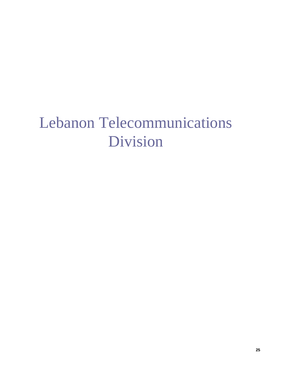## Lebanon Telecommunications Division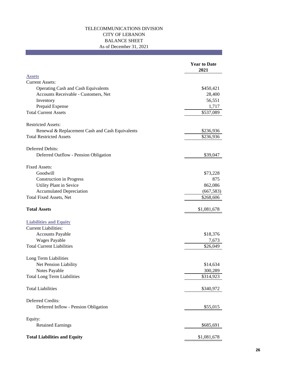#### TELECOMMUNICATIONS DIVISION CITY OF LEBANON BALANCE SHEET As of December 31, 2021

|                                                 | <b>Year to Date</b><br>2021 |
|-------------------------------------------------|-----------------------------|
| <b>Assets</b>                                   |                             |
| <b>Current Assets:</b>                          |                             |
| Operating Cash and Cash Equivalents             | \$450,421                   |
| Accounts Receivable - Customers, Net            | 28,400                      |
| Inventory                                       | 56,551                      |
| Prepaid Expense                                 | 1,717                       |
| <b>Total Current Assets</b>                     | \$537,089                   |
| <b>Restricted Assets:</b>                       |                             |
| Renewal & Replacement Cash and Cash Equivalents | \$236,936                   |
| <b>Total Restricted Assets</b>                  | \$236,936                   |
| Deferred Debits:                                |                             |
| Deferred Outflow - Pension Obligation           | \$39,047                    |
| <b>Fixed Assets:</b>                            |                             |
| Goodwill                                        | \$73,228                    |
| <b>Construction in Progress</b>                 | 875                         |
| Utility Plant in Sevice                         | 862,086                     |
| <b>Accumulated Depreciation</b>                 | (667, 583)                  |
| Total Fixed Assets, Net                         | \$268,606                   |
| <b>Total Assets</b>                             | \$1,081,678                 |
| <b>Liabilities and Equity</b>                   |                             |
| <b>Current Liabilities:</b>                     |                             |
| <b>Accounts Payable</b>                         | \$18,376                    |
| <b>Wages Payable</b>                            | 7,673                       |
| <b>Total Current Liabilities</b>                | \$26,049                    |
| Long Term Liabilities                           |                             |
| Net Pension Liability                           | \$14,634                    |
| Notes Payable                                   | 300,289                     |
| <b>Total Long Term Liabilities</b>              | \$314,923                   |
| <b>Total Liabilities</b>                        | \$340,972                   |
| Deferred Credits:                               |                             |
| Deferred Inflow - Pension Obligation            | \$55,015                    |
|                                                 |                             |
| Equity:<br><b>Retained Earnings</b>             | \$685,691                   |
| <b>Total Liabilities and Equity</b>             | \$1,081,678                 |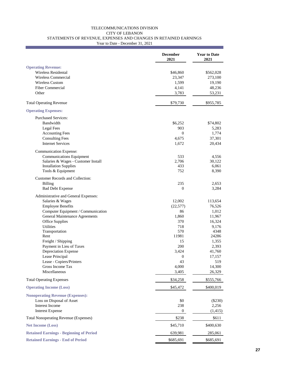#### TELECOMMUNICATIONS DIVISION CITY OF LEBANON STATEMENTS OF REVENUE, EXPENSES AND CHANGES IN RETAINED EARNINGS Year to Date - December 31, 2021

**December Year to Date 2021 2021 Operating Revenue:** Wireless Residental  $$46,860$   $$562,028$ Wireless Commercial 23,347 273,100 Wireless Custom 1,599 19,190 Fiber Commercial 4,141 48,236 Other 3,783 53,231 Total Operating Revenue  $$79,730$  \$955,785 **Operating Expenses:** Purchased Services: Bandwidth \$6,252 \$74,802 Legal Fees 5,283 Accounting Fees 0 1,774 Consulting Fees 37,301 Internet Services 1,672 20,434 Communication Expense: Communications Equipment 533 4,556<br>
Salaries & Wages - Customer Install 533 2,706 30,122 Salaries & Wages - Customer Install 2,706 30,122 Installation Supplies 433 6,061 Tools & Equipment 8,390 Customer Records and Collection: Billing 235 2,653 Bad Debt Expense 2,284 Administrative and General Expenses: Salaries & Wages 12,002 113,654 Employee Benefits (22,577) 76,526 Computer Equipment / Communication 86 1,012 General Maintenance Agreements 1,860 11,967 Office Supplies 370 16,324 Utilities 218 9,176 Transportation 570 4348<br>Rent 11981 24286 Rent 11981 24286 Freight / Shipping 15 1,355 Payment in Lieu of Taxes 200 2,393 Depreciation Expense  $3,424$  41,760 Lease Principal 0 17,157 Lease - Copiers/Printers 43 519 Gross Income Tax 4,000 14,300 Miscellaneous 3,405 26,329 Total Operating Expenses  $$34,258$   $$555,766$ **Operating Income (Loss)** \$45,472 \$400,019 **Nonoperating Revenue (Expenses):** Loss on Disposal of Asset \$0 (\$230) (\$230) Interest Income 238 2,256 Interest Expense 0 (1,415) Total Nonoperating Revenue (Expenses) \$238 \$611 **Net Income (Loss)** \$45,710 \$400,630 **Retained Earnings - Beginning of Period** 639,981 285,061 **Retained Earnings - End of Period**  $$685,691$   $$685,691$   $$685,691$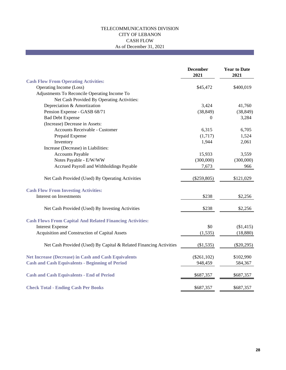#### TELECOMMUNICATIONS DIVISION CITY OF LEBANON CASH FLOW As of December 31, 2021

|                                                                    | <b>December</b><br>2021 | <b>Year to Date</b><br>2021 |
|--------------------------------------------------------------------|-------------------------|-----------------------------|
| <b>Cash Flow From Operating Activities:</b>                        |                         |                             |
| Operating Income (Loss)                                            | \$45,472                | \$400,019                   |
| Adjustments To Reconcile Operating Income To                       |                         |                             |
| Net Cash Provided By Operating Activities:                         |                         |                             |
| Depreciation & Amortization                                        | 3,424                   | 41,760                      |
| Pension Expense - GASB 68/71                                       | (38, 849)               | (38, 849)                   |
| <b>Bad Debt Expense</b>                                            | $\theta$                | 3,284                       |
| (Increase) Decrease in Assets:                                     |                         |                             |
| Accounts Receivable - Customer                                     | 6,315                   | 6,705                       |
| Prepaid Expense                                                    | (1,717)                 | 1,524                       |
| Inventory                                                          | 1,944                   | 2,061                       |
| Increase (Decrease) in Liabilities:                                |                         |                             |
| <b>Accounts Payable</b>                                            | 15,933                  | 3,559                       |
| Notes Payable - E/W/WW                                             | (300,000)               | (300,000)                   |
| Accrued Payroll and Withholdings Payable                           | 7,673                   | 966                         |
| Net Cash Provided (Used) By Operating Activities                   | $(\$259,805)$           | \$121,029                   |
| <b>Cash Flow From Investing Activities:</b>                        |                         |                             |
| Interest on Investments                                            | \$238                   | \$2,256                     |
| Net Cash Provided (Used) By Investing Activities                   | \$238                   | \$2,256                     |
| <b>Cash Flows From Capital And Related Financing Activities:</b>   |                         |                             |
| <b>Interest Expense</b>                                            | \$0                     | (\$1,415)                   |
| Acquisition and Construction of Capital Assets                     | (1, 535)                | (18, 880)                   |
| Net Cash Provided (Used) By Capital & Related Financing Activities | (\$1,535)               | $(\$20,295)$                |
| <b>Net Increase (Decrease) in Cash and Cash Equivalents</b>        | $(\$261, 102)$          | \$102,990                   |
| <b>Cash and Cash Equivalents - Beginning of Period</b>             | 948,459                 | 584,367                     |
| <b>Cash and Cash Equivalents - End of Period</b>                   | \$687,357               | \$687,357                   |
| <b>Check Total - Ending Cash Per Books</b>                         | \$687,357               | \$687,357                   |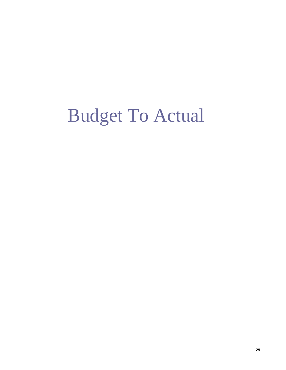# Budget To Actual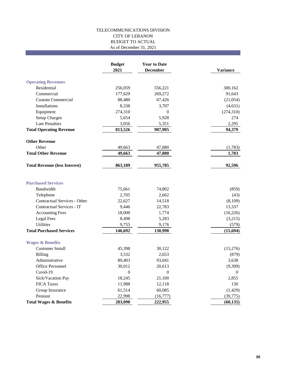#### TELECOMMUNICATIONS DIVISION CITY OF LEBANON BUDGET TO ACTUAL As of December 31, 2021

|                                      | <b>Budget</b><br>2021 | <b>Year to Date</b><br><b>December</b> | <b>Variance</b> |
|--------------------------------------|-----------------------|----------------------------------------|-----------------|
| <b>Operating Revenues</b>            |                       |                                        |                 |
| Residential                          | 256,059               | 556,221                                | 300,162         |
| Commercial                           | 177,629               | 269,272                                | 91,643          |
| <b>Custom Commercial</b>             | 88,480                | 67,426                                 | (21,054)        |
| <b>Installations</b>                 | 8,338                 | 3,707                                  | (4, 631)        |
| Equipment                            | 274,310               | $\mathbf{0}$                           | (274, 310)      |
| <b>Setup Charges</b>                 | 5,654                 | 5,928                                  | 274             |
| <b>Late Penalties</b>                | 3,056                 | 5,351                                  | 2,295           |
| <b>Total Operating Revenue</b>       | 813,526               | 907,905                                | 94,379          |
| <b>Other Revenue</b>                 |                       |                                        |                 |
| Other                                | 49,663                | 47,880                                 | (1,783)         |
| <b>Total Other Revenue</b>           | 49,663                | 47,880                                 | 1,783           |
| <b>Total Revenue (less Interest)</b> | 863,189               | 955,785                                | 92,596          |
| <b>Purchased Services</b>            |                       |                                        |                 |
| Bandwidth                            | 75,661                | 74,802                                 | (859)           |
| Telephone                            | 2,705                 | 2,662                                  | (43)            |
| Contractual Services - Other         | 22,627                | 14,518                                 | (8,109)         |
| Contractual Services - IT            | 9,446                 | 22,783                                 | 13,337          |
| <b>Accounting Fees</b>               | 18,000                | 1,774                                  | (16, 226)       |
| Legal Fees                           | 8,498                 | 5,283                                  | (3,215)         |
| Utilities                            | 9,755                 | 9,176                                  | (579)           |
| <b>Total Purchased Services</b>      | 146,692               | 130,998                                | (15, 694)       |
| <b>Wages &amp; Benefits</b>          |                       |                                        |                 |
| <b>Customer Install</b>              | 45,398                | 30,122                                 | (15,276)        |
| Billing                              | 3,532                 | 2,653                                  | (879)           |
| Administrative                       | 89,403                | 93,041                                 | 3,638           |
| Office Personnel                     | 30,012                | 20,613                                 | (9,399)         |
| Covid-19                             | $\Omega$              | $\Omega$                               | $\Omega$        |
| Sick/Vacation Pay                    | 18,245                | 21,100                                 | 2,855           |
| <b>FICA Taxes</b>                    | 11,988                | 12,118                                 | 130             |
| Group Insurance                      | 61,514                | 60,085                                 | (1, 429)        |
| Pension                              | 22,998                | (16,777)                               | (39,775)        |
| <b>Total Wages &amp; Benefits</b>    | 283,090               | 222,955                                | (60, 135)       |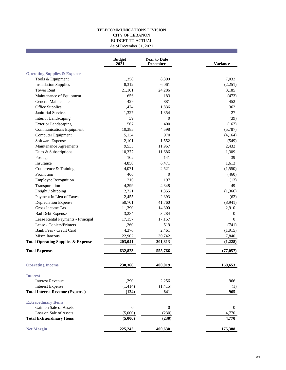#### TELECOMMUNICATIONS DIVISION CITY OF LEBANON BUDGET TO ACTUAL As of December 31, 2021

|                                               | <b>Budget</b><br>2021 | <b>Year to Date</b><br><b>December</b> | <b>Variance</b>  |
|-----------------------------------------------|-----------------------|----------------------------------------|------------------|
| <b>Operating Supplies &amp; Expense</b>       |                       |                                        |                  |
| Tools & Equipment                             | 1,358                 | 8,390                                  | 7,032            |
| <b>Installation Supplies</b>                  | 8,312                 | 6,061                                  | (2,251)          |
| <b>Tower Rent</b>                             | 21,101                | 24,286                                 | 3,185            |
| Maintenance of Equipment                      | 656                   | 183                                    | (473)            |
| General Maintenance                           | 429                   | 881                                    | 452              |
| Office Supplies                               | 1,474                 | 1,836                                  | 362              |
| Janitorial Services                           | 1,327                 | 1,354                                  | 27               |
| <b>Interior Landscaping</b>                   | 39                    | $\mathbf{0}$                           | (39)             |
| <b>Exterior Landscaping</b>                   | 567                   | 400                                    | (167)            |
| <b>Communications Equipment</b>               | 10,385                | 4,598                                  | (5,787)          |
| Computer Equipment                            | 5,134                 | 970                                    | (4,164)          |
| Software Expense                              | 2,101                 | 1,552                                  | (549)            |
| Maintenance Agreements                        | 9,535                 | 11,967                                 | 2,432            |
| Dues & Subscriptions                          | 10,377                | 11,686                                 | 1,309            |
| Postage                                       | 102                   | 141                                    | 39               |
| Insurance                                     | 4.858                 | 6,471                                  | 1,613            |
| Conference & Training                         | 4,071                 | 2.521                                  | (1,550)          |
| Promotion                                     | 460                   | $\mathbf{0}$                           | (460)            |
| <b>Employee Recognition</b>                   | 210                   | 197                                    | (13)             |
| Transportation                                | 4,299                 | 4,348                                  | 49               |
| Freight / Shipping                            | 2,721                 | 1,355                                  | (1,366)          |
| Payment in Lieu of Taxes                      | 2,455                 | 2,393                                  | (62)             |
| <b>Depreciation Expense</b>                   | 50,701                | 41,760                                 | (8,941)          |
| Gross Income Tax                              | 11,390                | 14,300                                 | 2,910            |
| <b>Bad Debt Expense</b>                       | 3,284                 | 3,284                                  | $\mathbf{0}$     |
| Lease Rental Payments - Principal             | 17,157                | 17,157                                 | $\mathbf{0}$     |
| Lease - Copiers/Printers                      | 1,260                 | 519                                    | (741)            |
| Bank Fees - Credit Card                       | 4,376                 | 2,461                                  | (1, 915)         |
| Miscellaneous                                 | 22,902                | 30,742                                 | 7,840            |
| <b>Total Operating Supplies &amp; Expense</b> | 203,041               | 201,813                                | (1,228)          |
| <b>Total Expenses</b>                         | 632,823               | 555,766                                | (77, 057)        |
| <b>Operating Income</b>                       | 230,366               | 400,019                                | 169,653          |
| <b>Interest</b>                               |                       |                                        |                  |
| <b>Interest Revenue</b>                       | 1,290                 | 2,256                                  | 966              |
| <b>Interest Expense</b>                       | (1, 414)              | (1, 415)                               | (1)              |
| <b>Total Interest Revenue (Expense)</b>       | (124)                 | 841                                    | 965              |
| <b>Extraordinary Items</b>                    |                       |                                        |                  |
| Gain on Sale of Assets                        | $\mathbf{0}$          | $\boldsymbol{0}$                       | $\boldsymbol{0}$ |
| Loss on Sale of Assets                        | (5,000)               | (230)                                  | 4,770            |
| <b>Total Extraordinary Items</b>              | (5,000)               | (230)                                  | 4,770            |
| <b>Net Margin</b>                             | 225,242               | 400,630                                | 175,388          |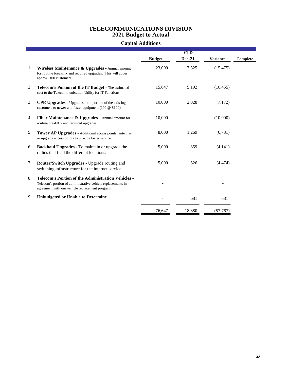### **TELECOMMUNICATIONS DIVISION 2021 Budget to Actual**

### **Capital Additions**

|                |                                                                                                                                                                             |               | <b>YTD</b>    |                 |          |
|----------------|-----------------------------------------------------------------------------------------------------------------------------------------------------------------------------|---------------|---------------|-----------------|----------|
|                |                                                                                                                                                                             | <b>Budget</b> | <b>Dec-21</b> | <b>Variance</b> | Complete |
| 1              | <b>Wireless Maintenance &amp; Upgrades - Annual amount</b><br>for routine break/fix and required upgrades. This will cover<br>approx. 100 customers.                        | 23,000        | 7,525         | (15, 475)       |          |
| $\overline{2}$ | Telecom's Portion of the IT Budget - The estimated<br>cost to the Telecommunication Utility for IT Functions.                                                               | 15,647        | 5,192         | (10, 455)       |          |
| 3              | <b>CPE Upgrades</b> - Upgrades for a portion of the existing<br>customers to newer and faster equipment (100 $@$ \$100).                                                    | 10,000        | 2,828         | (7,172)         |          |
| 4              | <b>Fiber Maintenance &amp; Upgrades - Annual amount for</b><br>routine break/fix and required upgrades.                                                                     | 10,000        |               | (10,000)        |          |
| 5              | <b>Tower AP Upgrades - Additional access points, antennas</b><br>or upgrade access points to provide faster service.                                                        | 8,000         | 1,269         | (6,731)         |          |
| 6              | <b>Backhaul Upgrades</b> - To maintain or upgrade the<br>radios that feed the different locations.                                                                          | 5,000         | 859           | (4,141)         |          |
| 7              | Router/Switch Upgrades - Upgrade routing and<br>switching infrastructure for the internet service.                                                                          | 5,000         | 526           | (4, 474)        |          |
| 8              | <b>Telecom's Portion of the Administration Vehicles -</b><br>Telecom's portion of administrative vehicle replacements in<br>agreement with our vehicle replacement program. |               |               |                 |          |
| 9              | <b>Unbudgeted or Unable to Determine</b>                                                                                                                                    |               | 681           | 681             |          |
|                |                                                                                                                                                                             | 76,647        | 18,880        | (57,767         |          |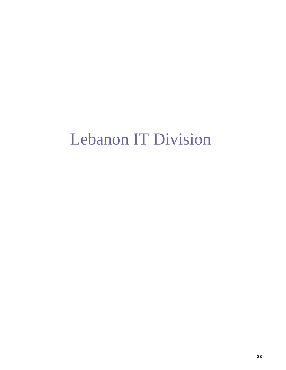## Lebanon IT Division